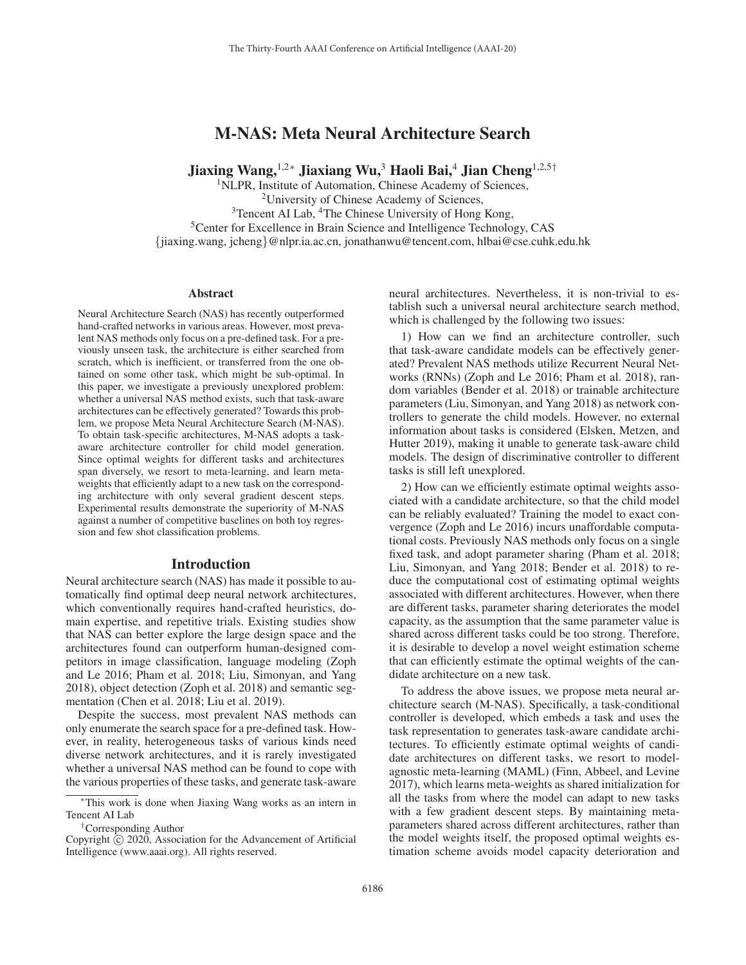# M-NAS: Meta Neural Architecture Search

Jiaxing Wang,1,2<sup>∗</sup> Jiaxiang Wu,<sup>3</sup> Haoli Bai,<sup>4</sup> Jian Cheng1,2,5†

<sup>1</sup>NLPR, Institute of Automation, Chinese Academy of Sciences, 2University of Chinese Academy of Sciences, <sup>3</sup>Tencent AI Lab, <sup>4</sup>The Chinese University of Hong Kong, <sup>5</sup>Center for Excellence in Brain Science and Intelligence Technology, CAS

{jiaxing.wang, jcheng}@nlpr.ia.ac.cn, jonathanwu@tencent.com, hlbai@cse.cuhk.edu.hk

#### Abstract

Neural Architecture Search (NAS) has recently outperformed hand-crafted networks in various areas. However, most prevalent NAS methods only focus on a pre-defined task. For a previously unseen task, the architecture is either searched from scratch, which is inefficient, or transferred from the one obtained on some other task, which might be sub-optimal. In this paper, we investigate a previously unexplored problem: whether a universal NAS method exists, such that task-aware architectures can be effectively generated? Towards this problem, we propose Meta Neural Architecture Search (M-NAS). To obtain task-specific architectures, M-NAS adopts a taskaware architecture controller for child model generation. Since optimal weights for different tasks and architectures span diversely, we resort to meta-learning, and learn metaweights that efficiently adapt to a new task on the corresponding architecture with only several gradient descent steps. Experimental results demonstrate the superiority of M-NAS against a number of competitive baselines on both toy regression and few shot classification problems.

# Introduction

Neural architecture search (NAS) has made it possible to automatically find optimal deep neural network architectures, which conventionally requires hand-crafted heuristics, domain expertise, and repetitive trials. Existing studies show that NAS can better explore the large design space and the architectures found can outperform human-designed competitors in image classification, language modeling (Zoph and Le 2016; Pham et al. 2018; Liu, Simonyan, and Yang 2018), object detection (Zoph et al. 2018) and semantic segmentation (Chen et al. 2018; Liu et al. 2019).

Despite the success, most prevalent NAS methods can only enumerate the search space for a pre-defined task. However, in reality, heterogeneous tasks of various kinds need diverse network architectures, and it is rarely investigated whether a universal NAS method can be found to cope with the various properties of these tasks, and generate task-aware

neural architectures. Nevertheless, it is non-trivial to establish such a universal neural architecture search method, which is challenged by the following two issues:

1) How can we find an architecture controller, such that task-aware candidate models can be effectively generated? Prevalent NAS methods utilize Recurrent Neural Networks (RNNs) (Zoph and Le 2016; Pham et al. 2018), random variables (Bender et al. 2018) or trainable architecture parameters (Liu, Simonyan, and Yang 2018) as network controllers to generate the child models. However, no external information about tasks is considered (Elsken, Metzen, and Hutter 2019), making it unable to generate task-aware child models. The design of discriminative controller to different tasks is still left unexplored.

2) How can we efficiently estimate optimal weights associated with a candidate architecture, so that the child model can be reliably evaluated? Training the model to exact convergence (Zoph and Le 2016) incurs unaffordable computational costs. Previously NAS methods only focus on a single fixed task, and adopt parameter sharing (Pham et al. 2018; Liu, Simonyan, and Yang 2018; Bender et al. 2018) to reduce the computational cost of estimating optimal weights associated with different architectures. However, when there are different tasks, parameter sharing deteriorates the model capacity, as the assumption that the same parameter value is shared across different tasks could be too strong. Therefore, it is desirable to develop a novel weight estimation scheme that can efficiently estimate the optimal weights of the candidate architecture on a new task.

To address the above issues, we propose meta neural architecture search (M-NAS). Specifically, a task-conditional controller is developed, which embeds a task and uses the task representation to generates task-aware candidate architectures. To efficiently estimate optimal weights of candidate architectures on different tasks, we resort to modelagnostic meta-learning (MAML) (Finn, Abbeel, and Levine 2017), which learns meta-weights as shared initialization for all the tasks from where the model can adapt to new tasks with a few gradient descent steps. By maintaining metaparameters shared across different architectures, rather than the model weights itself, the proposed optimal weights estimation scheme avoids model capacity deterioration and

<sup>∗</sup>This work is done when Jiaxing Wang works as an intern in Tencent AI Lab

<sup>†</sup>Corresponding Author

Copyright  $\odot$  2020, Association for the Advancement of Artificial Intelligence (www.aaai.org). All rights reserved.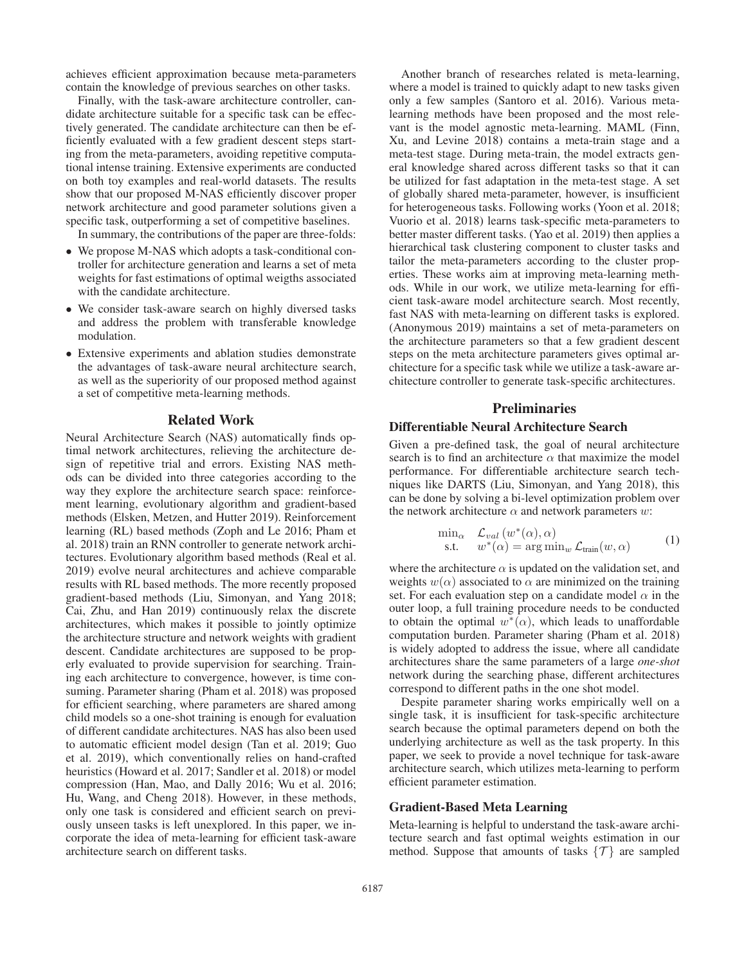achieves efficient approximation because meta-parameters contain the knowledge of previous searches on other tasks.

Finally, with the task-aware architecture controller, candidate architecture suitable for a specific task can be effectively generated. The candidate architecture can then be efficiently evaluated with a few gradient descent steps starting from the meta-parameters, avoiding repetitive computational intense training. Extensive experiments are conducted on both toy examples and real-world datasets. The results show that our proposed M-NAS efficiently discover proper network architecture and good parameter solutions given a specific task, outperforming a set of competitive baselines.

In summary, the contributions of the paper are three-folds:

- We propose M-NAS which adopts a task-conditional controller for architecture generation and learns a set of meta weights for fast estimations of optimal weigths associated with the candidate architecture.
- We consider task-aware search on highly diversed tasks and address the problem with transferable knowledge modulation.
- Extensive experiments and ablation studies demonstrate the advantages of task-aware neural architecture search, as well as the superiority of our proposed method against a set of competitive meta-learning methods.

### Related Work

Neural Architecture Search (NAS) automatically finds optimal network architectures, relieving the architecture design of repetitive trial and errors. Existing NAS methods can be divided into three categories according to the way they explore the architecture search space: reinforcement learning, evolutionary algorithm and gradient-based methods (Elsken, Metzen, and Hutter 2019). Reinforcement learning (RL) based methods (Zoph and Le 2016; Pham et al. 2018) train an RNN controller to generate network architectures. Evolutionary algorithm based methods (Real et al. 2019) evolve neural architectures and achieve comparable results with RL based methods. The more recently proposed gradient-based methods (Liu, Simonyan, and Yang 2018; Cai, Zhu, and Han 2019) continuously relax the discrete architectures, which makes it possible to jointly optimize the architecture structure and network weights with gradient descent. Candidate architectures are supposed to be properly evaluated to provide supervision for searching. Training each architecture to convergence, however, is time consuming. Parameter sharing (Pham et al. 2018) was proposed for efficient searching, where parameters are shared among child models so a one-shot training is enough for evaluation of different candidate architectures. NAS has also been used to automatic efficient model design (Tan et al. 2019; Guo et al. 2019), which conventionally relies on hand-crafted heuristics (Howard et al. 2017; Sandler et al. 2018) or model compression (Han, Mao, and Dally 2016; Wu et al. 2016; Hu, Wang, and Cheng 2018). However, in these methods, only one task is considered and efficient search on previously unseen tasks is left unexplored. In this paper, we incorporate the idea of meta-learning for efficient task-aware architecture search on different tasks.

Another branch of researches related is meta-learning, where a model is trained to quickly adapt to new tasks given only a few samples (Santoro et al. 2016). Various metalearning methods have been proposed and the most relevant is the model agnostic meta-learning. MAML (Finn, Xu, and Levine 2018) contains a meta-train stage and a meta-test stage. During meta-train, the model extracts general knowledge shared across different tasks so that it can be utilized for fast adaptation in the meta-test stage. A set of globally shared meta-parameter, however, is insufficient for heterogeneous tasks. Following works (Yoon et al. 2018; Vuorio et al. 2018) learns task-specific meta-parameters to better master different tasks. (Yao et al. 2019) then applies a hierarchical task clustering component to cluster tasks and tailor the meta-parameters according to the cluster properties. These works aim at improving meta-learning methods. While in our work, we utilize meta-learning for efficient task-aware model architecture search. Most recently, fast NAS with meta-learning on different tasks is explored. (Anonymous 2019) maintains a set of meta-parameters on the architecture parameters so that a few gradient descent steps on the meta architecture parameters gives optimal architecture for a specific task while we utilize a task-aware architecture controller to generate task-specific architectures.

# **Preliminaries**

# Differentiable Neural Architecture Search

Given a pre-defined task, the goal of neural architecture search is to find an architecture  $\alpha$  that maximize the model performance. For differentiable architecture search techniques like DARTS (Liu, Simonyan, and Yang 2018), this can be done by solving a bi-level optimization problem over the network architecture  $\alpha$  and network parameters w:

$$
\min_{\alpha} \quad \mathcal{L}_{val} \left( w^*(\alpha), \alpha \right) \n\text{s.t.} \quad w^*(\alpha) = \arg \min_{w} \mathcal{L}_{\text{train}}(w, \alpha)
$$
\n(1)

where the architecture  $\alpha$  is updated on the validation set, and weights  $w(\alpha)$  associated to  $\alpha$  are minimized on the training set. For each evaluation step on a candidate model  $\alpha$  in the outer loop, a full training procedure needs to be conducted to obtain the optimal  $w^*(\alpha)$ , which leads to unaffordable computation burden. Parameter sharing (Pham et al. 2018) is widely adopted to address the issue, where all candidate architectures share the same parameters of a large *one-shot* network during the searching phase, different architectures correspond to different paths in the one shot model.

Despite parameter sharing works empirically well on a single task, it is insufficient for task-specific architecture search because the optimal parameters depend on both the underlying architecture as well as the task property. In this paper, we seek to provide a novel technique for task-aware architecture search, which utilizes meta-learning to perform efficient parameter estimation.

## Gradient-Based Meta Learning

Meta-learning is helpful to understand the task-aware architecture search and fast optimal weights estimation in our method. Suppose that amounts of tasks  $\{\mathcal{T}\}\$ are sampled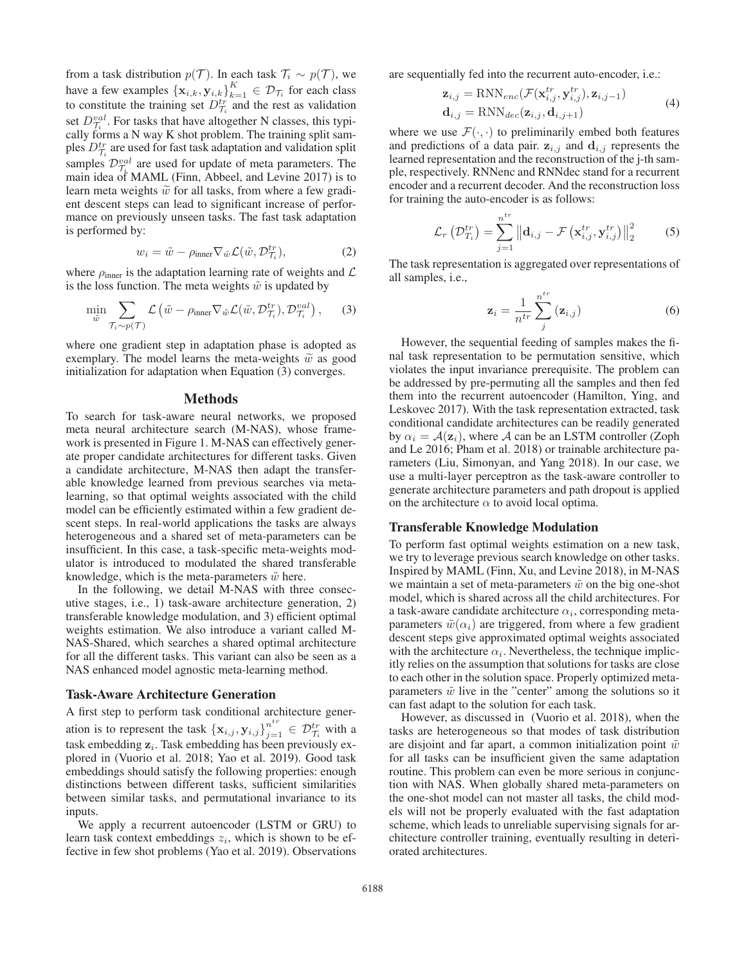from a task distribution  $p(\mathcal{T})$ . In each task  $\mathcal{T}_i \sim p(\mathcal{T})$ , we have a few examples  $\{x_{i,k}, y_{i,k}\}_{k=1}^K \in \mathcal{D}_{\mathcal{T}_i}$  for each class to constitute the training set  $D_{\mathcal{T}_i}^{tr}$  and the rest as validation set  $D_{\tilde{I}}^{val}$ . For tasks that have altogether N classes, this typically forms a N way K shot problem. The training split samples  $D_{\mathcal{T}_i}^{tr}$  are used for fast task adaptation and validation split samples  $\mathcal{D}_{\tau}^{val}$  are used for update of meta parameters. The main idea of MAML (Finn, Abbeel, and Levine 2017) is to learn meta weights  $\tilde{w}$  for all tasks, from where a few gradient descent steps can lead to significant increase of performance on previously unseen tasks. The fast task adaptation is performed by:

$$
w_i = \tilde{w} - \rho_{\text{inner}} \nabla_{\tilde{w}} \mathcal{L}(\tilde{w}, \mathcal{D}_{\mathcal{T}_i}^{tr}), \tag{2}
$$

where  $\rho_{\text{inner}}$  is the adaptation learning rate of weights and  $\mathcal{L}$ is the loss function. The meta weights  $\tilde{w}$  is updated by

$$
\min_{\tilde{w}} \sum_{\mathcal{T}_i \sim p(\mathcal{T})} \mathcal{L} \left( \tilde{w} - \rho_{\text{inner}} \nabla_{\tilde{w}} \mathcal{L}(\tilde{w}, \mathcal{D}_{\mathcal{T}_i}^{tr}), \mathcal{D}_{\mathcal{T}_i}^{val} \right), \qquad (3)
$$

where one gradient step in adaptation phase is adopted as exemplary. The model learns the meta-weights  $\tilde{w}$  as good initialization for adaptation when Equation (3) converges.

#### Methods

To search for task-aware neural networks, we proposed meta neural architecture search (M-NAS), whose framework is presented in Figure 1. M-NAS can effectively generate proper candidate architectures for different tasks. Given a candidate architecture, M-NAS then adapt the transferable knowledge learned from previous searches via metalearning, so that optimal weights associated with the child model can be efficiently estimated within a few gradient descent steps. In real-world applications the tasks are always heterogeneous and a shared set of meta-parameters can be insufficient. In this case, a task-specific meta-weights modulator is introduced to modulated the shared transferable knowledge, which is the meta-parameters  $\tilde{w}$  here.

In the following, we detail M-NAS with three consecutive stages, i.e., 1) task-aware architecture generation, 2) transferable knowledge modulation, and 3) efficient optimal weights estimation. We also introduce a variant called M-NAS-Shared, which searches a shared optimal architecture for all the different tasks. This variant can also be seen as a NAS enhanced model agnostic meta-learning method.

#### Task-Aware Architecture Generation

A first step to perform task conditional architecture generation is to represent the task  $\{x_{i,j}, y_{i,j}\}_{j=1}^{n^{tr}} \in \mathcal{D}_{\mathcal{T}_i}^{tr}$  with a task embedding  $z_i$ . Task embedding has been previously explored in (Vuorio et al. 2018; Yao et al. 2019). Good task embeddings should satisfy the following properties: enough distinctions between different tasks, sufficient similarities between similar tasks, and permutational invariance to its inputs.

We apply a recurrent autoencoder (LSTM or GRU) to learn task context embeddings  $z_i$ , which is shown to be effective in few shot problems (Yao et al. 2019). Observations

are sequentially fed into the recurrent auto-encoder, i.e.:

$$
\mathbf{z}_{i,j} = \text{RNN}_{enc}(\mathcal{F}(\mathbf{x}_{i,j}^{tr}, \mathbf{y}_{i,j}^{tr}), \mathbf{z}_{i,j-1})
$$
  
\n
$$
\mathbf{d}_{i,j} = \text{RNN}_{dec}(\mathbf{z}_{i,j}, \mathbf{d}_{i,j+1})
$$
\n(4)

where we use  $\mathcal{F}(\cdot, \cdot)$  to preliminarily embed both features and predictions of a data pair.  $z_{i,j}$  and  $d_{i,j}$  represents the learned representation and the reconstruction of the j-th sample, respectively. RNNenc and RNNdec stand for a recurrent encoder and a recurrent decoder. And the reconstruction loss for training the auto-encoder is as follows:

$$
\mathcal{L}_{r}\left(\mathcal{D}_{T_{i}}^{tr}\right)=\sum_{j=1}^{n^{tr}}\left\|\mathbf{d}_{i,j}-\mathcal{F}\left(\mathbf{x}_{i,j}^{tr},\mathbf{y}_{i,j}^{tr}\right)\right\|_{2}^{2} \tag{5}
$$

The task representation is aggregated over representations of all samples, i.e.,

$$
\mathbf{z}_{i} = \frac{1}{n^{tr}} \sum_{j}^{n^{tr}} (\mathbf{z}_{i,j})
$$
 (6)

However, the sequential feeding of samples makes the final task representation to be permutation sensitive, which violates the input invariance prerequisite. The problem can be addressed by pre-permuting all the samples and then fed them into the recurrent autoencoder (Hamilton, Ying, and Leskovec 2017). With the task representation extracted, task conditional candidate architectures can be readily generated by  $\alpha_i = A(\mathbf{z}_i)$ , where A can be an LSTM controller (Zoph and Le 2016; Pham et al. 2018) or trainable architecture parameters (Liu, Simonyan, and Yang 2018). In our case, we use a multi-layer perceptron as the task-aware controller to generate architecture parameters and path dropout is applied on the architecture  $\alpha$  to avoid local optima.

# Transferable Knowledge Modulation

To perform fast optimal weights estimation on a new task, we try to leverage previous search knowledge on other tasks. Inspired by MAML (Finn, Xu, and Levine 2018), in M-NAS we maintain a set of meta-parameters  $\tilde{w}$  on the big one-shot model, which is shared across all the child architectures. For a task-aware candidate architecture  $\alpha_i$ , corresponding metaparameters  $\tilde{w}(\alpha_i)$  are triggered, from where a few gradient descent steps give approximated optimal weights associated with the architecture  $\alpha_i$ . Nevertheless, the technique implicitly relies on the assumption that solutions for tasks are close to each other in the solution space. Properly optimized metaparameters  $\tilde{w}$  live in the "center" among the solutions so it can fast adapt to the solution for each task.

However, as discussed in (Vuorio et al. 2018), when the tasks are heterogeneous so that modes of task distribution are disjoint and far apart, a common initialization point  $\tilde{w}$ for all tasks can be insufficient given the same adaptation routine. This problem can even be more serious in conjunction with NAS. When globally shared meta-parameters on the one-shot model can not master all tasks, the child models will not be properly evaluated with the fast adaptation scheme, which leads to unreliable supervising signals for architecture controller training, eventually resulting in deteriorated architectures.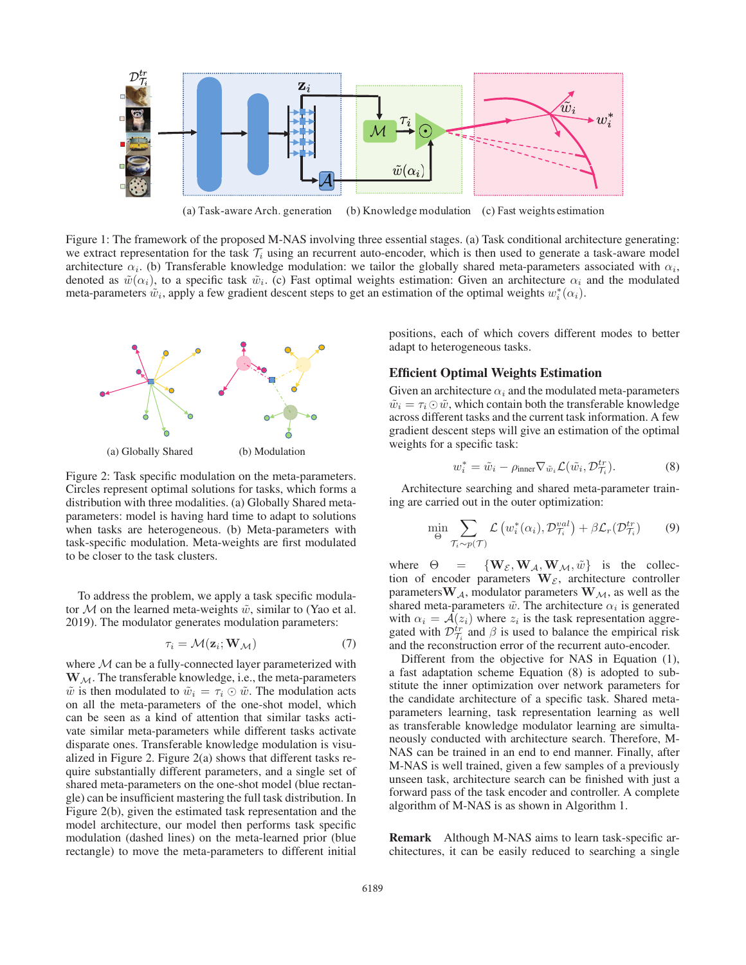

(a) Task-aware Arch. generation (b) Knowledge modulation (c) Fast weights estimation

Figure 1: The framework of the proposed M-NAS involving three essential stages. (a) Task conditional architecture generating: we extract representation for the task  $\mathcal{T}_i$  using an recurrent auto-encoder, which is then used to generate a task-aware model architecture  $\alpha_i$ . (b) Transferable knowledge modulation: we tailor the globally shared meta-parameters associated with  $\alpha_i$ , denoted as  $\tilde{w}(\alpha_i)$ , to a specific task  $\tilde{w}_i$ . (c) Fast optimal weights estimation: Given an architecture  $\alpha_i$  and the modulated meta-parameters  $\tilde{w}_i$ , apply a few gradient descent steps to get an estimation of the optimal weights  $w_i^*(\alpha_i)$ .



Figure 2: Task specific modulation on the meta-parameters. Circles represent optimal solutions for tasks, which forms a distribution with three modalities. (a) Globally Shared metaparameters: model is having hard time to adapt to solutions when tasks are heterogeneous. (b) Meta-parameters with task-specific modulation. Meta-weights are first modulated to be closer to the task clusters.

To address the problem, we apply a task specific modulator  $M$  on the learned meta-weights  $\tilde{w}$ , similar to (Yao et al. 2019). The modulator generates modulation parameters:

$$
\tau_i = \mathcal{M}(\mathbf{z}_i; \mathbf{W}_\mathcal{M}) \tag{7}
$$

where  $M$  can be a fully-connected layer parameterized with  $W_M$ . The transferable knowledge, i.e., the meta-parameters  $\tilde{w}$  is then modulated to  $\tilde{w}_i = \tau_i \odot \tilde{w}$ . The modulation acts on all the meta-parameters of the one-shot model, which can be seen as a kind of attention that similar tasks activate similar meta-parameters while different tasks activate disparate ones. Transferable knowledge modulation is visualized in Figure 2. Figure 2(a) shows that different tasks require substantially different parameters, and a single set of shared meta-parameters on the one-shot model (blue rectangle) can be insufficient mastering the full task distribution. In Figure 2(b), given the estimated task representation and the model architecture, our model then performs task specific modulation (dashed lines) on the meta-learned prior (blue rectangle) to move the meta-parameters to different initial

positions, each of which covers different modes to better adapt to heterogeneous tasks.

# Efficient Optimal Weights Estimation

Given an architecture  $\alpha_i$  and the modulated meta-parameters  $\tilde{w}_i = \tau_i \odot \tilde{w}$ , which contain both the transferable knowledge across different tasks and the current task information. A few gradient descent steps will give an estimation of the optimal weights for a specific task:

$$
w_i^* = \tilde{w}_i - \rho_{\text{inner}} \nabla_{\tilde{w}_i} \mathcal{L}(\tilde{w}_i, \mathcal{D}_{\mathcal{T}_i}^{tr}). \tag{8}
$$

Architecture searching and shared meta-parameter training are carried out in the outer optimization:

$$
\min_{\Theta} \sum_{\mathcal{T}_i \sim p(\mathcal{T})} \mathcal{L} \left( w_i^*(\alpha_i), \mathcal{D}_{\mathcal{T}_i}^{val} \right) + \beta \mathcal{L}_r(\mathcal{D}_{\mathcal{T}_i}^{tr}) \tag{9}
$$

where  $\Theta = {\bf W}_{\mathcal{E}}, {\bf W}_{\mathcal{A}}, {\bf W}_{\mathcal{M}}, \tilde{w}$  is the collection of encoder parameters  $W_{\mathcal{E}}$ , architecture controller parameters  $\mathbf{W}_{\mathcal{A}}$ , modulator parameters  $\mathbf{W}_{\mathcal{M}}$ , as well as the shared meta-parameters  $\tilde{w}$ . The architecture  $\alpha_i$  is generated with  $\alpha_i = A(z_i)$  where  $z_i$  is the task representation aggregated with  $\mathcal{D}_{\mathcal{T}_i}^{tr}$  and  $\beta$  is used to balance the empirical risk and the reconstruction error of the recurrent auto-encoder.

Different from the objective for NAS in Equation (1), a fast adaptation scheme Equation (8) is adopted to substitute the inner optimization over network parameters for the candidate architecture of a specific task. Shared metaparameters learning, task representation learning as well as transferable knowledge modulator learning are simultaneously conducted with architecture search. Therefore, M-NAS can be trained in an end to end manner. Finally, after M-NAS is well trained, given a few samples of a previously unseen task, architecture search can be finished with just a forward pass of the task encoder and controller. A complete algorithm of M-NAS is as shown in Algorithm 1.

Remark Although M-NAS aims to learn task-specific architectures, it can be easily reduced to searching a single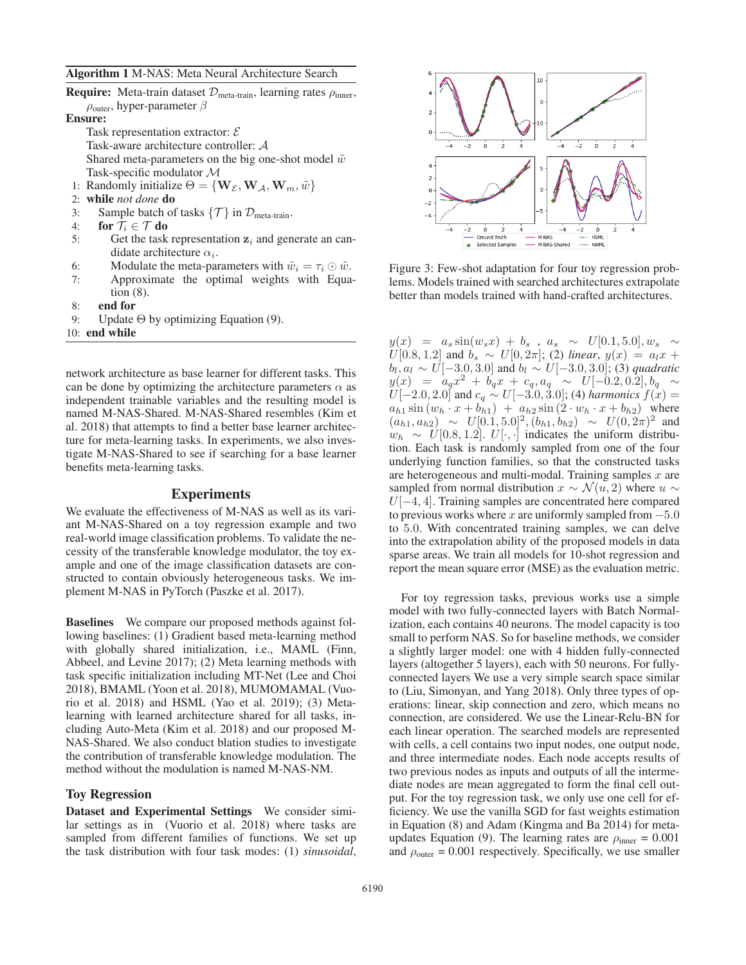### Algorithm 1 M-NAS: Meta Neural Architecture Search

| <b>Require:</b> Meta-train dataset $\mathcal{D}_{meta-train}$ , learning rates $\rho_{inner}$ , |  |
|-------------------------------------------------------------------------------------------------|--|
| $\rho_{\text{outer}}$ , hyper-parameter $\beta$                                                 |  |

Ensure:

Task representation extractor:  $\mathcal E$ Task-aware architecture controller: A Shared meta-parameters on the big one-shot model  $\tilde{w}$ Task-specific modulator M

- 1: Randomly initialize  $\Theta = {\bf{W}_{\mathcal{E}}}, {\bf{W}_{\mathcal{A}}}, {\bf{W}_{m}}, \tilde{w}$
- 2: while *not done* do
- 3: Sample batch of tasks  $\{\mathcal{T}\}\$  in  $\mathcal{D}_{\text{meta-train}}$ .
- 4: for  $\mathcal{T}_i \in \mathcal{T}$  do
- 5: Get the task representation  $z_i$  and generate an candidate architecture  $\alpha_i$ .
- 6: Modulate the meta-parameters with  $\tilde{w}_i = \tau_i \odot \tilde{w}$ .<br>7: Approximate the optimal weights with Equa
- Approximate the optimal weights with Equation (8).
- 8: end for
- 9: Update Θ by optimizing Equation (9).

10: end while

network architecture as base learner for different tasks. This can be done by optimizing the architecture parameters  $\alpha$  as independent trainable variables and the resulting model is named M-NAS-Shared. M-NAS-Shared resembles (Kim et al. 2018) that attempts to find a better base learner architecture for meta-learning tasks. In experiments, we also investigate M-NAS-Shared to see if searching for a base learner benefits meta-learning tasks.

# Experiments

We evaluate the effectiveness of M-NAS as well as its variant M-NAS-Shared on a toy regression example and two real-world image classification problems. To validate the necessity of the transferable knowledge modulator, the toy example and one of the image classification datasets are constructed to contain obviously heterogeneous tasks. We implement M-NAS in PyTorch (Paszke et al. 2017).

Baselines We compare our proposed methods against following baselines: (1) Gradient based meta-learning method with globally shared initialization, i.e., MAML (Finn, Abbeel, and Levine 2017); (2) Meta learning methods with task specific initialization including MT-Net (Lee and Choi 2018), BMAML (Yoon et al. 2018), MUMOMAMAL (Vuorio et al. 2018) and HSML (Yao et al. 2019); (3) Metalearning with learned architecture shared for all tasks, including Auto-Meta (Kim et al. 2018) and our proposed M-NAS-Shared. We also conduct blation studies to investigate the contribution of transferable knowledge modulation. The method without the modulation is named M-NAS-NM.

## Toy Regression

Dataset and Experimental Settings We consider similar settings as in (Vuorio et al. 2018) where tasks are sampled from different families of functions. We set up the task distribution with four task modes: (1) *sinusoidal*,



Figure 3: Few-shot adaptation for four toy regression problems. Models trained with searched architectures extrapolate better than models trained with hand-crafted architectures.

 $y(x) = a_s \sin(w_s x) + b_s$ ,  $a_s \sim U[0.1, 5.0], w_s \sim$ <br> $U[0.8, 1.2]$  and  $b_s \sim U[0.2\pi]$ ; (2) linear  $y(x) = a_1 x + c_2$ U[0.8, 1.2] and  $b_s \sim U[0, 2\pi]$ ; (2) *linear*,  $y(x) = a_1x + b_1 a_2 \sim U[-3 \text{ O } 3 \text{ O } 1]$  and  $b_2 \sim U[-3 \text{ O } 3 \text{ O } 1]$  (3) *and ratio*  $b_l, a_l \sim U[-3.0, 3.0]$  and  $b_l \sim U[-3.0, 3.0]$ ; (3) *quadratic*  $y(x) = a_q x^2 + b_q x + c_q, a_q \sim U[-0.2, 0.2], b_q \sim$ <br> $U[-2.0, 2.0]$  and  $c_1 \sim U[-3.0, 3.0]$ ; (4) harmonics  $f(x) =$  $U[-2.0, 2.0]$  and  $c_q \sim U[-3.0, 3.0]$ ; (4) *harmonics*  $f(x) =$ <br> $a_{1,1} \sin (w_1 \cdot x + b_{1,1}) + a_{1,2} \sin (2 \cdot w_1 \cdot x + b_{1,2})$  where  $a_{h1}$  sin  $(w_h \cdot x + b_{h1}) + a_{h2}$  sin  $(2 \cdot w_h \cdot x + b_{h2})$  where  $(a_{h1}, a_{h2}) \sim U[0.1, 5.0]^2, (b_{h1}, b_{h2}) \sim U(0, 2\pi)^2$  and  $w_h \sim U[0.8, 1.2]$ .  $U[\cdot, \cdot]$  indicates the uniform distribution. Each task is randomly sampled from one of the four underlying function families, so that the constructed tasks are heterogeneous and multi-modal. Training samples  $x$  are sampled from normal distribution  $x \sim \mathcal{N}(u, 2)$  where  $u \sim$ <sup>U</sup>[−4, 4]. Training samples are concentrated here compared to previous works where x are uniformly sampled from  $-5.0$ to 5.0. With concentrated training samples, we can delve into the extrapolation ability of the proposed models in data sparse areas. We train all models for 10-shot regression and report the mean square error (MSE) as the evaluation metric.

For toy regression tasks, previous works use a simple model with two fully-connected layers with Batch Normalization, each contains 40 neurons. The model capacity is too small to perform NAS. So for baseline methods, we consider a slightly larger model: one with 4 hidden fully-connected layers (altogether 5 layers), each with 50 neurons. For fullyconnected layers We use a very simple search space similar to (Liu, Simonyan, and Yang 2018). Only three types of operations: linear, skip connection and zero, which means no connection, are considered. We use the Linear-Relu-BN for each linear operation. The searched models are represented with cells, a cell contains two input nodes, one output node, and three intermediate nodes. Each node accepts results of two previous nodes as inputs and outputs of all the intermediate nodes are mean aggregated to form the final cell output. For the toy regression task, we only use one cell for efficiency. We use the vanilla SGD for fast weights estimation in Equation (8) and Adam (Kingma and Ba 2014) for metaupdates Equation (9). The learning rates are  $\rho_{\text{inner}} = 0.001$ and  $\rho_{\text{outer}} = 0.001$  respectively. Specifically, we use smaller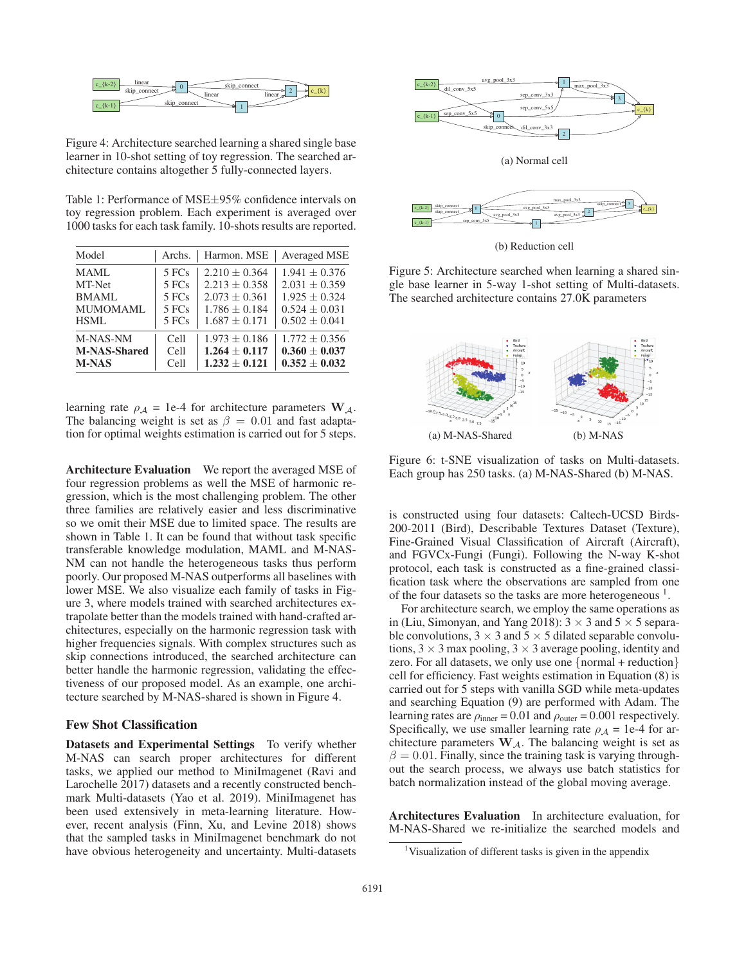

Figure 4: Architecture searched learning a shared single base learner in 10-shot setting of toy regression. The searched architecture contains altogether 5 fully-connected layers.

Table 1: Performance of MSE±95% confidence intervals on toy regression problem. Each experiment is averaged over 1000 tasks for each task family. 10-shots results are reported.

| Model               | Archs. | Harmon. MSE       | <b>Averaged MSE</b> |
|---------------------|--------|-------------------|---------------------|
| <b>MAML</b>         | 5 FCs  | $2.210 \pm 0.364$ | $1.941 + 0.376$     |
| MT-Net              | 5 FCs  | $2.213 \pm 0.358$ | $2.031 \pm 0.359$   |
| <b>BMAML</b>        | 5 FCs  | $2.073 + 0.361$   | $1.925 + 0.324$     |
| MUMOMAML            | 5 FCs  | $1.786 + 0.184$   | $0.524 + 0.031$     |
| HSML                | 5 FCs  | $1.687 \pm 0.171$ | $0.502 + 0.041$     |
| M-NAS-NM            | Cell   | $1.973 \pm 0.186$ | $1.772 \pm 0.356$   |
| <b>M-NAS-Shared</b> | Cell   | $1.264 + 0.117$   | $0.360 + 0.037$     |
| <b>M-NAS</b>        | Cell   | $1.232 + 0.121$   | $0.352 \pm 0.032$   |

learning rate  $\rho_A = 1e^{-4}$  for architecture parameters  $\mathbf{W}_A$ . The balancing weight is set as  $\beta = 0.01$  and fast adaptation for optimal weights estimation is carried out for 5 steps.

Architecture Evaluation We report the averaged MSE of four regression problems as well the MSE of harmonic regression, which is the most challenging problem. The other three families are relatively easier and less discriminative so we omit their MSE due to limited space. The results are shown in Table 1. It can be found that without task specific transferable knowledge modulation, MAML and M-NAS-NM can not handle the heterogeneous tasks thus perform poorly. Our proposed M-NAS outperforms all baselines with lower MSE. We also visualize each family of tasks in Figure 3, where models trained with searched architectures extrapolate better than the models trained with hand-crafted architectures, especially on the harmonic regression task with higher frequencies signals. With complex structures such as skip connections introduced, the searched architecture can better handle the harmonic regression, validating the effectiveness of our proposed model. As an example, one architecture searched by M-NAS-shared is shown in Figure 4.

# Few Shot Classification

Datasets and Experimental Settings To verify whether M-NAS can search proper architectures for different tasks, we applied our method to MiniImagenet (Ravi and Larochelle 2017) datasets and a recently constructed benchmark Multi-datasets (Yao et al. 2019). MiniImagenet has been used extensively in meta-learning literature. However, recent analysis (Finn, Xu, and Levine 2018) shows that the sampled tasks in MiniImagenet benchmark do not have obvious heterogeneity and uncertainty. Multi-datasets



(b) Reduction cell

Figure 5: Architecture searched when learning a shared single base learner in 5-way 1-shot setting of Multi-datasets. The searched architecture contains 27.0K parameters



Figure 6: t-SNE visualization of tasks on Multi-datasets. Each group has 250 tasks. (a) M-NAS-Shared (b) M-NAS.

is constructed using four datasets: Caltech-UCSD Birds-200-2011 (Bird), Describable Textures Dataset (Texture), Fine-Grained Visual Classification of Aircraft (Aircraft), and FGVCx-Fungi (Fungi). Following the N-way K-shot protocol, each task is constructed as a fine-grained classification task where the observations are sampled from one of the four datasets so the tasks are more heterogeneous  $<sup>1</sup>$ .</sup>

For architecture search, we employ the same operations as in (Liu, Simonyan, and Yang 2018):  $3 \times 3$  and  $5 \times 5$  separable convolutions,  $3 \times 3$  and  $5 \times 5$  dilated separable convolutions,  $3 \times 3$  max pooling,  $3 \times 3$  average pooling, identity and zero. For all datasets, we only use one {normal + reduction} cell for efficiency. Fast weights estimation in Equation (8) is carried out for 5 steps with vanilla SGD while meta-updates and searching Equation (9) are performed with Adam. The learning rates are  $\rho_{\text{inner}} = 0.01$  and  $\rho_{\text{outer}} = 0.001$  respectively. Specifically, we use smaller learning rate  $\rho_A = 1e^{-4}$  for architecture parameters  $W_A$ . The balancing weight is set as  $\beta = 0.01$ . Finally, since the training task is varying throughout the search process, we always use batch statistics for batch normalization instead of the global moving average.

Architectures Evaluation In architecture evaluation, for M-NAS-Shared we re-initialize the searched models and

<sup>&</sup>lt;sup>1</sup>Visualization of different tasks is given in the appendix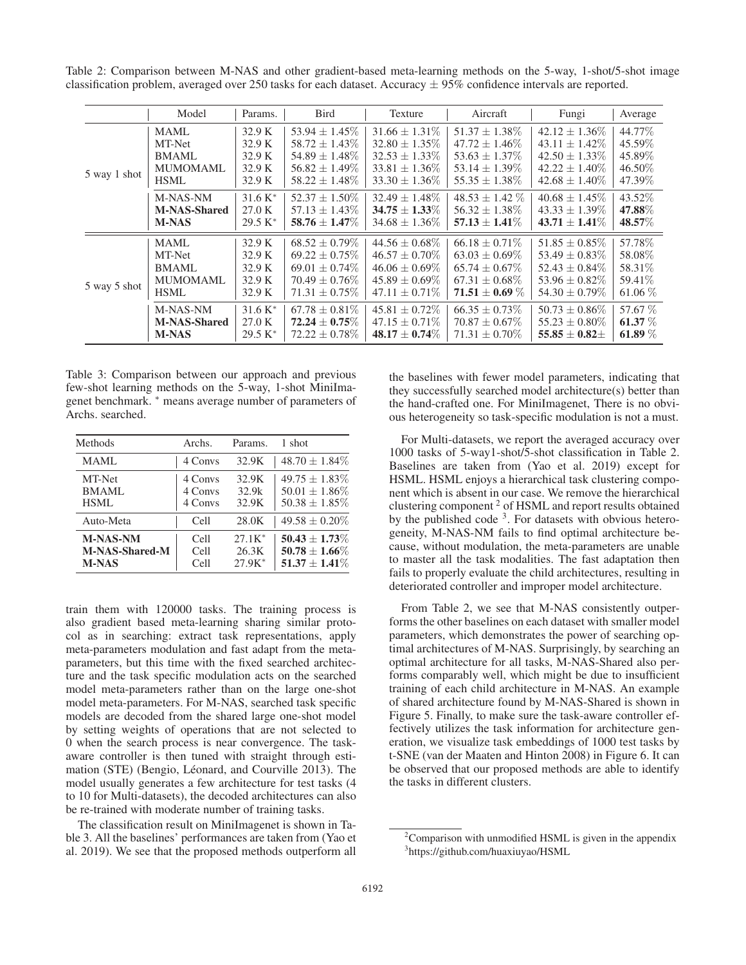Table 2: Comparison between M-NAS and other gradient-based meta-learning methods on the 5-way, 1-shot/5-shot image classification problem, averaged over 250 tasks for each dataset. Accuracy  $\pm$  95% confidence intervals are reported.

|              | Model                                                                   | Params.                                        | Bird                                                                                                       | Texture                                                                                                    | Aircraft                                                                                                    | Fungi                                                                                                      | Average                                             |
|--------------|-------------------------------------------------------------------------|------------------------------------------------|------------------------------------------------------------------------------------------------------------|------------------------------------------------------------------------------------------------------------|-------------------------------------------------------------------------------------------------------------|------------------------------------------------------------------------------------------------------------|-----------------------------------------------------|
| 5 way 1 shot | <b>MAML</b><br>MT-Net<br><b>BMAML</b><br><b>MUMOMAML</b><br><b>HSML</b> | 32.9 K<br>32.9 K<br>32.9 K<br>32.9 K<br>32.9 K | $53.94 \pm 1.45\%$<br>$58.72 \pm 1.43\%$<br>$54.89 \pm 1.48\%$<br>$56.82 \pm 1.49\%$<br>$58.22 \pm 1.48\%$ | $31.66 \pm 1.31\%$<br>$32.80 \pm 1.35\%$<br>$32.53 \pm 1.33\%$<br>$33.81 \pm 1.36\%$<br>$33.30 \pm 1.36\%$ | $51.37 \pm 1.38\%$<br>$47.72 \pm 1.46\%$<br>$53.63 \pm 1.37\%$<br>$53.14 \pm 1.39\%$<br>$55.35 \pm 1.38\%$  | $42.12 \pm 1.36\%$<br>$43.11 \pm 1.42\%$<br>$42.50 \pm 1.33\%$<br>$42.22 \pm 1.40\%$<br>$42.68 \pm 1.40\%$ | 44.77%<br>45.59%<br>45.89%<br>46.50%<br>47.39%      |
|              | M-NAS-NM<br><b>M-NAS-Shared</b><br><b>M-NAS</b>                         | $31.6 K^*$<br>27.0 K<br>$29.5 K^*$             | $52.37 \pm 1.50\%$<br>$57.13 \pm 1.43\%$<br>$58.76 \pm 1.47\%$                                             | $32.49 \pm 1.48\%$<br>$34.75 \pm 1.33\%$<br>$34.68 \pm 1.36\%$                                             | $48.53 \pm 1.42\%$<br>$56.32 \pm 1.38\%$<br>$57.13 \pm 1.41\%$                                              | $40.68 \pm 1.45\%$<br>$43.33 \pm 1.39\%$<br>$43.71 \pm 1.41\%$                                             | 43.52%<br>47.88%<br>48.57%                          |
| 5 way 5 shot | <b>MAML</b><br>MT-Net<br><b>BMAML</b><br><b>MUMOMAML</b><br><b>HSML</b> | 32.9 K<br>32.9 K<br>32.9 K<br>32.9 K<br>32.9 K | $68.52 \pm 0.79\%$<br>$69.22 \pm 0.75\%$<br>$69.01 \pm 0.74\%$<br>$70.49 \pm 0.76\%$<br>$71.31 \pm 0.75\%$ | $44.56 \pm 0.68\%$<br>$46.57 \pm 0.70\%$<br>$46.06 \pm 0.69\%$<br>$45.89 \pm 0.69\%$<br>$47.11 \pm 0.71\%$ | $66.18 \pm 0.71\%$<br>$63.03 \pm 0.69\%$<br>$65.74 \pm 0.67\%$<br>$67.31 \pm 0.68\%$<br>$71.51 \pm 0.69 \%$ | $51.85 \pm 0.85\%$<br>$53.49 \pm 0.83\%$<br>$52.43 \pm 0.84\%$<br>$53.96 \pm 0.82\%$<br>$54.30 \pm 0.79\%$ | 57.78%<br>58.08%<br>58.31\%<br>59.41\%<br>61.06 $%$ |
|              | M-NAS-NM<br><b>M-NAS-Shared</b><br><b>M-NAS</b>                         | $31.6 K*$<br>27.0 K<br>$29.5 K^*$              | $67.78 \pm 0.81\%$<br>$72.24 \pm 0.75\%$<br>$72.22 \pm 0.78\%$                                             | $45.81 \pm 0.72\%$<br>$47.15 \pm 0.71\%$<br>$48.17 \pm 0.74\%$                                             | $66.35 \pm 0.73\%$<br>$70.87 \pm 0.67\%$<br>$71.31 \pm 0.70\%$                                              | $50.73 \pm 0.86\%$<br>$55.23 \pm 0.80\%$<br>$55.85 \pm 0.82 \pm$                                           | 57.67 %<br>61.37 $%$<br>61.89 $\%$                  |

Table 3: Comparison between our approach and previous few-shot learning methods on the 5-way, 1-shot MiniImagenet benchmark. <sup>∗</sup> means average number of parameters of Archs. searched.

| Methods         | Archs.  | Params.  | 1 shot             |
|-----------------|---------|----------|--------------------|
| <b>MAML</b>     | 4 Convs | 32.9K    | $48.70 \pm 1.84\%$ |
| MT-Net          | 4 Convs | 32.9K    | $49.75 \pm 1.83\%$ |
| BMAML           | 4 Convs | 32.9k    | $50.01 \pm 1.86\%$ |
| HSML            | 4 Convs | 32.9K    | $50.38 \pm 1.85\%$ |
| Auto-Meta       | Cell    | 28.0K    | $49.58 \pm 0.20\%$ |
| <b>M-NAS-NM</b> | Cell    | $27.1K*$ | $50.43 \pm 1.73\%$ |
| M-NAS-Shared-M  | Cell    | 26.3K    | $50.78 \pm 1.66\%$ |
| <b>M-NAS</b>    | Cell    | $27.9K*$ | $51.37 \pm 1.41\%$ |

train them with 120000 tasks. The training process is also gradient based meta-learning sharing similar protocol as in searching: extract task representations, apply meta-parameters modulation and fast adapt from the metaparameters, but this time with the fixed searched architecture and the task specific modulation acts on the searched model meta-parameters rather than on the large one-shot model meta-parameters. For M-NAS, searched task specific models are decoded from the shared large one-shot model by setting weights of operations that are not selected to 0 when the search process is near convergence. The taskaware controller is then tuned with straight through estimation (STE) (Bengio, Léonard, and Courville 2013). The model usually generates a few architecture for test tasks (4 to 10 for Multi-datasets), the decoded architectures can also be re-trained with moderate number of training tasks.

The classification result on MiniImagenet is shown in Table 3. All the baselines' performances are taken from (Yao et al. 2019). We see that the proposed methods outperform all

the baselines with fewer model parameters, indicating that they successfully searched model architecture(s) better than the hand-crafted one. For MiniImagenet, There is no obvious heterogeneity so task-specific modulation is not a must.

For Multi-datasets, we report the averaged accuracy over 1000 tasks of 5-way1-shot/5-shot classification in Table 2. Baselines are taken from (Yao et al. 2019) except for HSML. HSML enjoys a hierarchical task clustering component which is absent in our case. We remove the hierarchical clustering component <sup>2</sup> of HSML and report results obtained by the published code <sup>3</sup>. For datasets with obvious heterogeneity, M-NAS-NM fails to find optimal architecture because, without modulation, the meta-parameters are unable to master all the task modalities. The fast adaptation then fails to properly evaluate the child architectures, resulting in deteriorated controller and improper model architecture.

From Table 2, we see that M-NAS consistently outperforms the other baselines on each dataset with smaller model parameters, which demonstrates the power of searching optimal architectures of M-NAS. Surprisingly, by searching an optimal architecture for all tasks, M-NAS-Shared also performs comparably well, which might be due to insufficient training of each child architecture in M-NAS. An example of shared architecture found by M-NAS-Shared is shown in Figure 5. Finally, to make sure the task-aware controller effectively utilizes the task information for architecture generation, we visualize task embeddings of 1000 test tasks by t-SNE (van der Maaten and Hinton 2008) in Figure 6. It can be observed that our proposed methods are able to identify the tasks in different clusters.

<sup>&</sup>lt;sup>2</sup> Comparison with unmodified HSML is given in the appendix 3 https://github.com/huaxiuyao/HSML